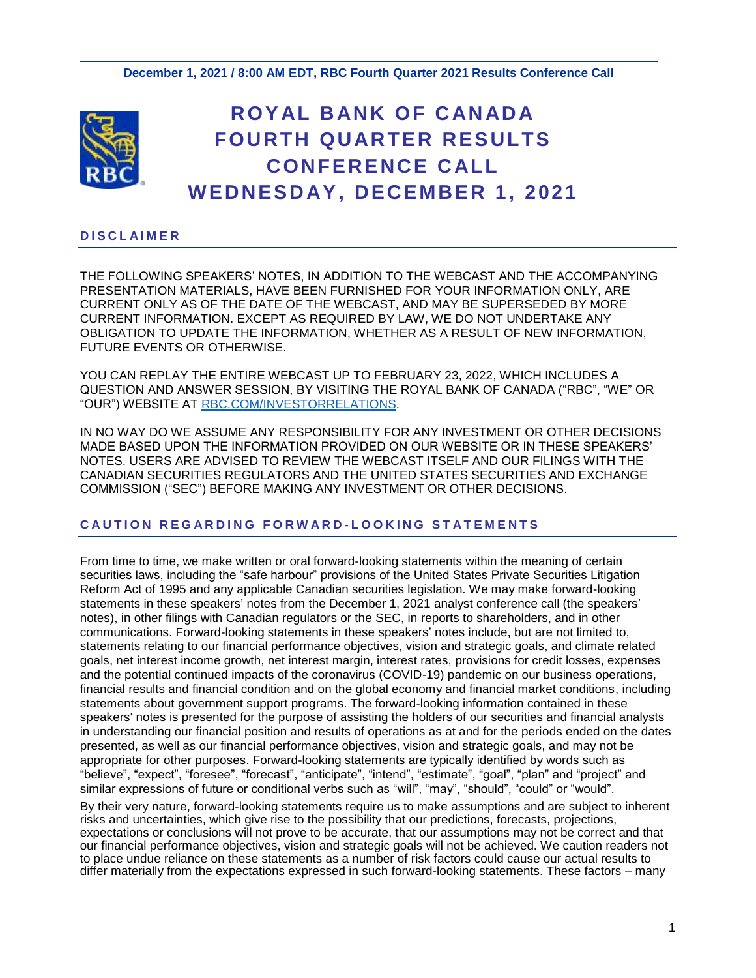

## **D I S C L A I M E R**

THE FOLLOWING SPEAKERS' NOTES, IN ADDITION TO THE WEBCAST AND THE ACCOMPANYING PRESENTATION MATERIALS, HAVE BEEN FURNISHED FOR YOUR INFORMATION ONLY, ARE CURRENT ONLY AS OF THE DATE OF THE WEBCAST, AND MAY BE SUPERSEDED BY MORE CURRENT INFORMATION. EXCEPT AS REQUIRED BY LAW, WE DO NOT UNDERTAKE ANY OBLIGATION TO UPDATE THE INFORMATION, WHETHER AS A RESULT OF NEW INFORMATION, FUTURE EVENTS OR OTHERWISE.

YOU CAN REPLAY THE ENTIRE WEBCAST UP TO FEBRUARY 23, 2022, WHICH INCLUDES A QUESTION AND ANSWER SESSION, BY VISITING THE ROYAL BANK OF CANADA ("RBC", "WE" OR "OUR") WEBSITE AT [RBC.COM/INVESTORRELATIONS.](https://www.rbc.com/investor-relations/index.html)

IN NO WAY DO WE ASSUME ANY RESPONSIBILITY FOR ANY INVESTMENT OR OTHER DECISIONS MADE BASED UPON THE INFORMATION PROVIDED ON OUR WEBSITE OR IN THESE SPEAKERS' NOTES. USERS ARE ADVISED TO REVIEW THE WEBCAST ITSELF AND OUR FILINGS WITH THE CANADIAN SECURITIES REGULATORS AND THE UNITED STATES SECURITIES AND EXCHANGE COMMISSION ("SEC") BEFORE MAKING ANY INVESTMENT OR OTHER DECISIONS.

## **C A U T I O N R E G A R D I N G F O R W A R D - L O O K I N G S T A T E M E N T S**

From time to time, we make written or oral forward-looking statements within the meaning of certain securities laws, including the "safe harbour" provisions of the United States Private Securities Litigation Reform Act of 1995 and any applicable Canadian securities legislation. We may make forward-looking statements in these speakers' notes from the December 1, 2021 analyst conference call (the speakers' notes), in other filings with Canadian regulators or the SEC, in reports to shareholders, and in other communications. Forward-looking statements in these speakers' notes include, but are not limited to, statements relating to our financial performance objectives, vision and strategic goals, and climate related goals, net interest income growth, net interest margin, interest rates, provisions for credit losses, expenses and the potential continued impacts of the coronavirus (COVID-19) pandemic on our business operations, financial results and financial condition and on the global economy and financial market conditions, including statements about government support programs. The forward-looking information contained in these speakers' notes is presented for the purpose of assisting the holders of our securities and financial analysts in understanding our financial position and results of operations as at and for the periods ended on the dates presented, as well as our financial performance objectives, vision and strategic goals, and may not be appropriate for other purposes. Forward-looking statements are typically identified by words such as "believe", "expect", "foresee", "forecast", "anticipate", "intend", "estimate", "goal", "plan" and "project" and similar expressions of future or conditional verbs such as "will", "may", "should", "could" or "would".

By their very nature, forward-looking statements require us to make assumptions and are subject to inherent risks and uncertainties, which give rise to the possibility that our predictions, forecasts, projections, expectations or conclusions will not prove to be accurate, that our assumptions may not be correct and that our financial performance objectives, vision and strategic goals will not be achieved. We caution readers not to place undue reliance on these statements as a number of risk factors could cause our actual results to differ materially from the expectations expressed in such forward-looking statements. These factors – many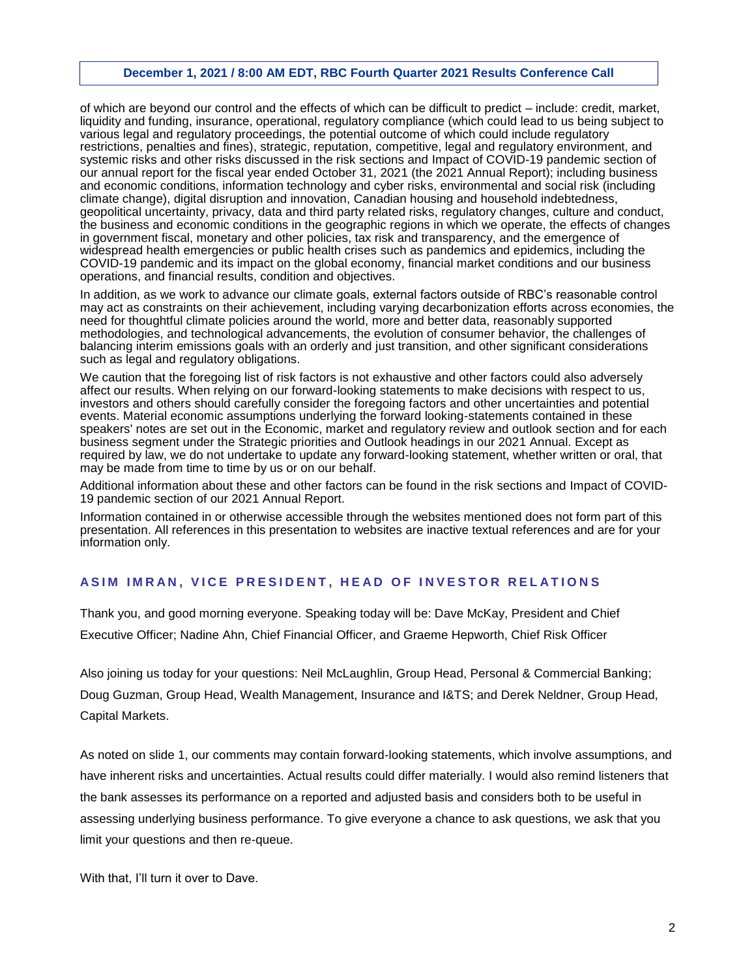of which are beyond our control and the effects of which can be difficult to predict – include: credit, market, liquidity and funding, insurance, operational, regulatory compliance (which could lead to us being subject to various legal and regulatory proceedings, the potential outcome of which could include regulatory restrictions, penalties and fines), strategic, reputation, competitive, legal and regulatory environment, and systemic risks and other risks discussed in the risk sections and Impact of COVID-19 pandemic section of our annual report for the fiscal year ended October 31, 2021 (the 2021 Annual Report); including business and economic conditions, information technology and cyber risks, environmental and social risk (including climate change), digital disruption and innovation, Canadian housing and household indebtedness, geopolitical uncertainty, privacy, data and third party related risks, regulatory changes, culture and conduct, the business and economic conditions in the geographic regions in which we operate, the effects of changes in government fiscal, monetary and other policies, tax risk and transparency, and the emergence of widespread health emergencies or public health crises such as pandemics and epidemics, including the COVID-19 pandemic and its impact on the global economy, financial market conditions and our business operations, and financial results, condition and objectives.

In addition, as we work to advance our climate goals, external factors outside of RBC's reasonable control may act as constraints on their achievement, including varying decarbonization efforts across economies, the need for thoughtful climate policies around the world, more and better data, reasonably supported methodologies, and technological advancements, the evolution of consumer behavior, the challenges of balancing interim emissions goals with an orderly and just transition, and other significant considerations such as legal and regulatory obligations.

We caution that the foregoing list of risk factors is not exhaustive and other factors could also adversely affect our results. When relying on our forward-looking statements to make decisions with respect to us, investors and others should carefully consider the foregoing factors and other uncertainties and potential events. Material economic assumptions underlying the forward looking-statements contained in these speakers' notes are set out in the Economic, market and regulatory review and outlook section and for each business segment under the Strategic priorities and Outlook headings in our 2021 Annual. Except as required by law, we do not undertake to update any forward-looking statement, whether written or oral, that may be made from time to time by us or on our behalf.

Additional information about these and other factors can be found in the risk sections and Impact of COVID-19 pandemic section of our 2021 Annual Report.

Information contained in or otherwise accessible through the websites mentioned does not form part of this presentation. All references in this presentation to websites are inactive textual references and are for your information only.

## **ASIM IMRAN, VICE PRESIDENT, HEAD OF INVESTOR RELATIONS**

Thank you, and good morning everyone. Speaking today will be: Dave McKay, President and Chief Executive Officer; Nadine Ahn, Chief Financial Officer, and Graeme Hepworth, Chief Risk Officer

Also joining us today for your questions: Neil McLaughlin, Group Head, Personal & Commercial Banking; Doug Guzman, Group Head, Wealth Management, Insurance and I&TS; and Derek Neldner, Group Head, Capital Markets.

As noted on slide 1, our comments may contain forward-looking statements, which involve assumptions, and have inherent risks and uncertainties. Actual results could differ materially. I would also remind listeners that the bank assesses its performance on a reported and adjusted basis and considers both to be useful in assessing underlying business performance. To give everyone a chance to ask questions, we ask that you limit your questions and then re-queue.

With that, I'll turn it over to Dave.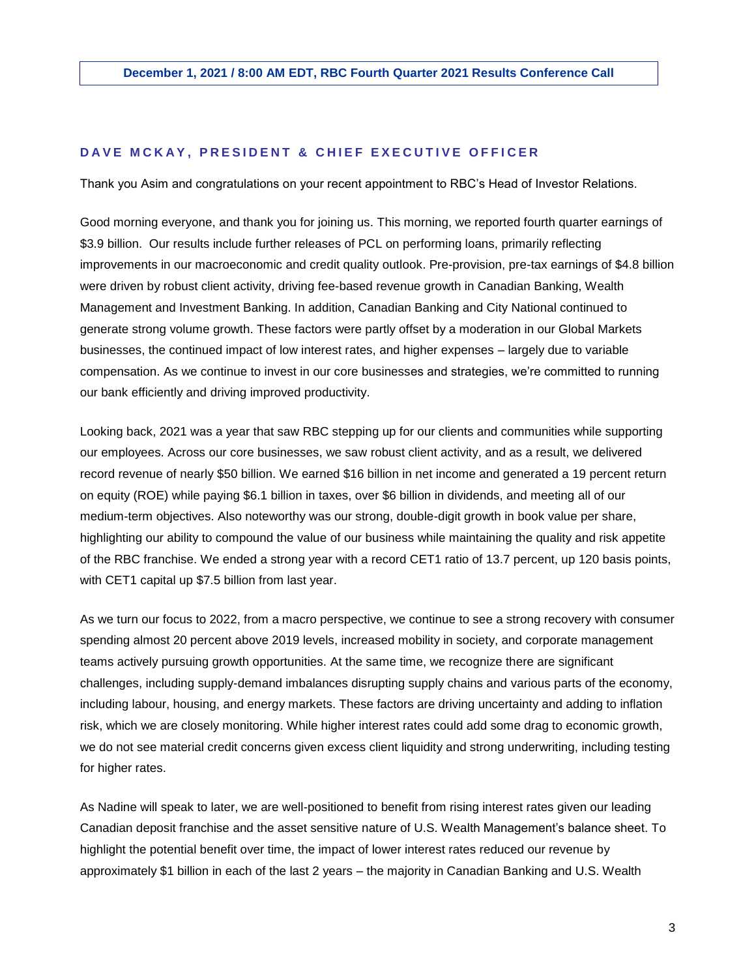# **D A V E M C K A Y , P R E S I D E N T & C H I E F E X E C U T I V E O F F I C E R**

Thank you Asim and congratulations on your recent appointment to RBC's Head of Investor Relations.

Good morning everyone, and thank you for joining us. This morning, we reported fourth quarter earnings of \$3.9 billion. Our results include further releases of PCL on performing loans, primarily reflecting improvements in our macroeconomic and credit quality outlook. Pre-provision, pre-tax earnings of \$4.8 billion were driven by robust client activity, driving fee-based revenue growth in Canadian Banking, Wealth Management and Investment Banking. In addition, Canadian Banking and City National continued to generate strong volume growth. These factors were partly offset by a moderation in our Global Markets businesses, the continued impact of low interest rates, and higher expenses – largely due to variable compensation. As we continue to invest in our core businesses and strategies, we're committed to running our bank efficiently and driving improved productivity.

Looking back, 2021 was a year that saw RBC stepping up for our clients and communities while supporting our employees. Across our core businesses, we saw robust client activity, and as a result, we delivered record revenue of nearly \$50 billion. We earned \$16 billion in net income and generated a 19 percent return on equity (ROE) while paying \$6.1 billion in taxes, over \$6 billion in dividends, and meeting all of our medium-term objectives. Also noteworthy was our strong, double-digit growth in book value per share, highlighting our ability to compound the value of our business while maintaining the quality and risk appetite of the RBC franchise. We ended a strong year with a record CET1 ratio of 13.7 percent, up 120 basis points, with CET1 capital up \$7.5 billion from last year.

As we turn our focus to 2022, from a macro perspective, we continue to see a strong recovery with consumer spending almost 20 percent above 2019 levels, increased mobility in society, and corporate management teams actively pursuing growth opportunities. At the same time, we recognize there are significant challenges, including supply-demand imbalances disrupting supply chains and various parts of the economy, including labour, housing, and energy markets. These factors are driving uncertainty and adding to inflation risk, which we are closely monitoring. While higher interest rates could add some drag to economic growth, we do not see material credit concerns given excess client liquidity and strong underwriting, including testing for higher rates.

As Nadine will speak to later, we are well-positioned to benefit from rising interest rates given our leading Canadian deposit franchise and the asset sensitive nature of U.S. Wealth Management's balance sheet. To highlight the potential benefit over time, the impact of lower interest rates reduced our revenue by approximately \$1 billion in each of the last 2 years – the majority in Canadian Banking and U.S. Wealth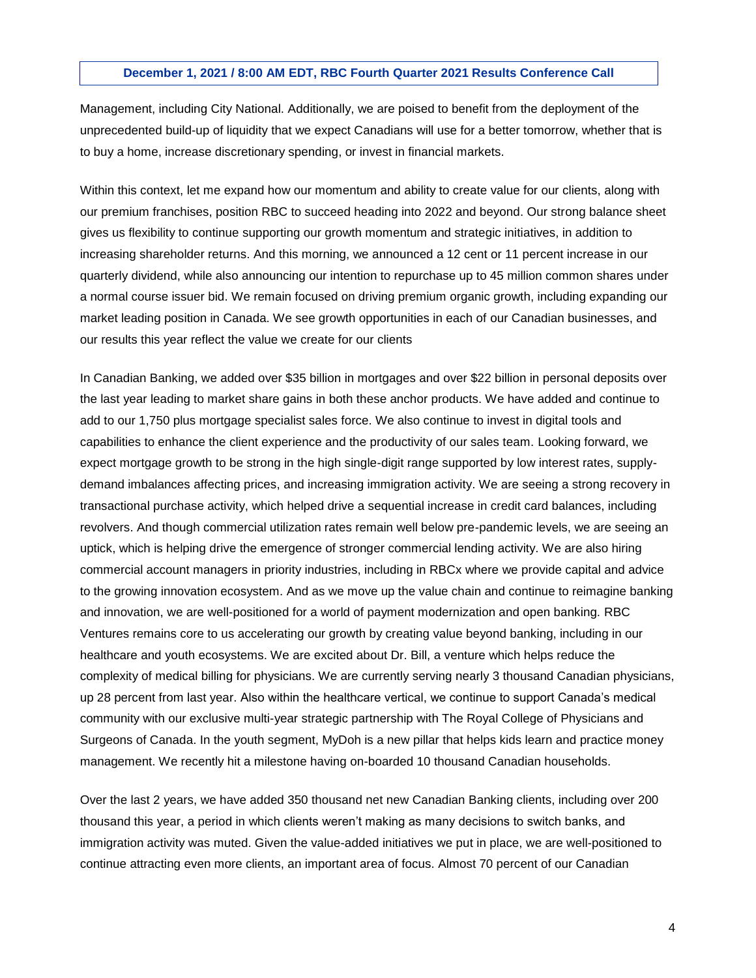Management, including City National. Additionally, we are poised to benefit from the deployment of the unprecedented build-up of liquidity that we expect Canadians will use for a better tomorrow, whether that is to buy a home, increase discretionary spending, or invest in financial markets.

Within this context, let me expand how our momentum and ability to create value for our clients, along with our premium franchises, position RBC to succeed heading into 2022 and beyond. Our strong balance sheet gives us flexibility to continue supporting our growth momentum and strategic initiatives, in addition to increasing shareholder returns. And this morning, we announced a 12 cent or 11 percent increase in our quarterly dividend, while also announcing our intention to repurchase up to 45 million common shares under a normal course issuer bid. We remain focused on driving premium organic growth, including expanding our market leading position in Canada. We see growth opportunities in each of our Canadian businesses, and our results this year reflect the value we create for our clients

In Canadian Banking, we added over \$35 billion in mortgages and over \$22 billion in personal deposits over the last year leading to market share gains in both these anchor products. We have added and continue to add to our 1,750 plus mortgage specialist sales force. We also continue to invest in digital tools and capabilities to enhance the client experience and the productivity of our sales team. Looking forward, we expect mortgage growth to be strong in the high single-digit range supported by low interest rates, supplydemand imbalances affecting prices, and increasing immigration activity. We are seeing a strong recovery in transactional purchase activity, which helped drive a sequential increase in credit card balances, including revolvers. And though commercial utilization rates remain well below pre-pandemic levels, we are seeing an uptick, which is helping drive the emergence of stronger commercial lending activity. We are also hiring commercial account managers in priority industries, including in RBCx where we provide capital and advice to the growing innovation ecosystem. And as we move up the value chain and continue to reimagine banking and innovation, we are well-positioned for a world of payment modernization and open banking. RBC Ventures remains core to us accelerating our growth by creating value beyond banking, including in our healthcare and youth ecosystems. We are excited about Dr. Bill, a venture which helps reduce the complexity of medical billing for physicians. We are currently serving nearly 3 thousand Canadian physicians, up 28 percent from last year. Also within the healthcare vertical, we continue to support Canada's medical community with our exclusive multi-year strategic partnership with The Royal College of Physicians and Surgeons of Canada. In the youth segment, MyDoh is a new pillar that helps kids learn and practice money management. We recently hit a milestone having on-boarded 10 thousand Canadian households.

Over the last 2 years, we have added 350 thousand net new Canadian Banking clients, including over 200 thousand this year, a period in which clients weren't making as many decisions to switch banks, and immigration activity was muted. Given the value-added initiatives we put in place, we are well-positioned to continue attracting even more clients, an important area of focus. Almost 70 percent of our Canadian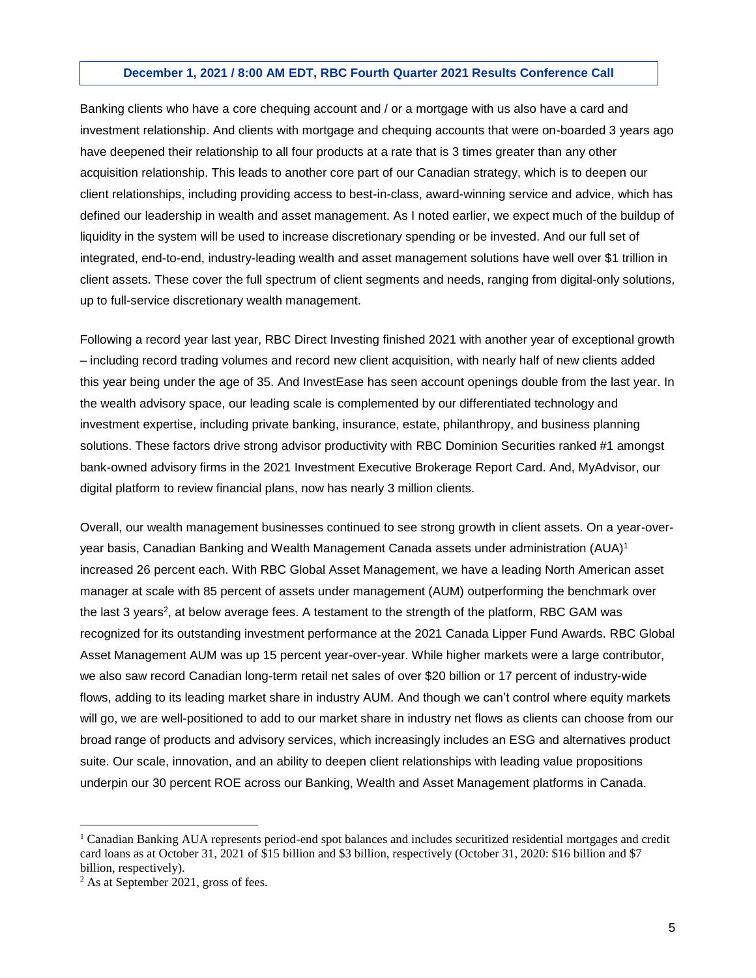Banking clients who have a core chequing account and / or a mortgage with us also have a card and investment relationship. And clients with mortgage and chequing accounts that were on-boarded 3 years ago have deepened their relationship to all four products at a rate that is 3 times greater than any other acquisition relationship. This leads to another core part of our Canadian strategy, which is to deepen our client relationships, including providing access to best-in-class, award-winning service and advice, which has defined our leadership in wealth and asset management. As I noted earlier, we expect much of the buildup of liquidity in the system will be used to increase discretionary spending or be invested. And our full set of integrated, end-to-end, industry-leading wealth and asset management solutions have well over \$1 trillion in client assets. These cover the full spectrum of client segments and needs, ranging from digital-only solutions, up to full-service discretionary wealth management.

Following a record year last year, RBC Direct Investing finished 2021 with another year of exceptional growth – including record trading volumes and record new client acquisition, with nearly half of new clients added this year being under the age of 35. And InvestEase has seen account openings double from the last year. In the wealth advisory space, our leading scale is complemented by our differentiated technology and investment expertise, including private banking, insurance, estate, philanthropy, and business planning solutions. These factors drive strong advisor productivity with RBC Dominion Securities ranked #1 amongst bank-owned advisory firms in the 2021 Investment Executive Brokerage Report Card. And, MyAdvisor, our digital platform to review financial plans, now has nearly 3 million clients.

Overall, our wealth management businesses continued to see strong growth in client assets. On a year-overyear basis, Canadian Banking and Wealth Management Canada assets under administration (AUA) 1 increased 26 percent each. With RBC Global Asset Management, we have a leading North American asset manager at scale with 85 percent of assets under management (AUM) outperforming the benchmark over the last 3 years<sup>2</sup>, at below average fees. A testament to the strength of the platform, RBC GAM was recognized for its outstanding investment performance at the 2021 Canada Lipper Fund Awards. RBC Global Asset Management AUM was up 15 percent year-over-year. While higher markets were a large contributor, we also saw record Canadian long-term retail net sales of over \$20 billion or 17 percent of industry-wide flows, adding to its leading market share in industry AUM. And though we can't control where equity markets will go, we are well-positioned to add to our market share in industry net flows as clients can choose from our broad range of products and advisory services, which increasingly includes an ESG and alternatives product suite. Our scale, innovation, and an ability to deepen client relationships with leading value propositions underpin our 30 percent ROE across our Banking, Wealth and Asset Management platforms in Canada.

 $\overline{a}$ 

<sup>&</sup>lt;sup>1</sup> Canadian Banking AUA represents period-end spot balances and includes securitized residential mortgages and credit card loans as at October 31, 2021 of \$15 billion and \$3 billion, respectively (October 31, 2020: \$16 billion and \$7 billion, respectively).

 $2$  As at September 2021, gross of fees.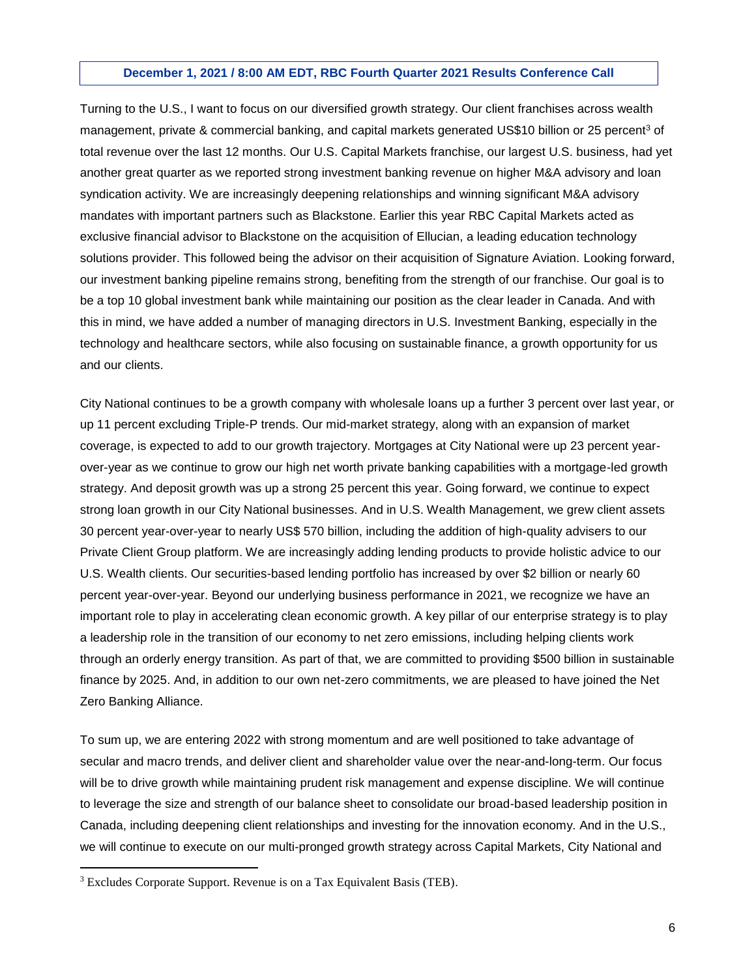Turning to the U.S., I want to focus on our diversified growth strategy. Our client franchises across wealth management, private & commercial banking, and capital markets generated US\$10 billion or 25 percent<sup>3</sup> of total revenue over the last 12 months. Our U.S. Capital Markets franchise, our largest U.S. business, had yet another great quarter as we reported strong investment banking revenue on higher M&A advisory and loan syndication activity. We are increasingly deepening relationships and winning significant M&A advisory mandates with important partners such as Blackstone. Earlier this year RBC Capital Markets acted as exclusive financial advisor to Blackstone on the acquisition of Ellucian, a leading education technology solutions provider. This followed being the advisor on their acquisition of Signature Aviation. Looking forward, our investment banking pipeline remains strong, benefiting from the strength of our franchise. Our goal is to be a top 10 global investment bank while maintaining our position as the clear leader in Canada. And with this in mind, we have added a number of managing directors in U.S. Investment Banking, especially in the technology and healthcare sectors, while also focusing on sustainable finance, a growth opportunity for us and our clients.

City National continues to be a growth company with wholesale loans up a further 3 percent over last year, or up 11 percent excluding Triple-P trends. Our mid-market strategy, along with an expansion of market coverage, is expected to add to our growth trajectory. Mortgages at City National were up 23 percent yearover-year as we continue to grow our high net worth private banking capabilities with a mortgage-led growth strategy. And deposit growth was up a strong 25 percent this year. Going forward, we continue to expect strong loan growth in our City National businesses. And in U.S. Wealth Management, we grew client assets 30 percent year-over-year to nearly US\$ 570 billion, including the addition of high-quality advisers to our Private Client Group platform. We are increasingly adding lending products to provide holistic advice to our U.S. Wealth clients. Our securities-based lending portfolio has increased by over \$2 billion or nearly 60 percent year-over-year. Beyond our underlying business performance in 2021, we recognize we have an important role to play in accelerating clean economic growth. A key pillar of our enterprise strategy is to play a leadership role in the transition of our economy to net zero emissions, including helping clients work through an orderly energy transition. As part of that, we are committed to providing \$500 billion in sustainable finance by 2025. And, in addition to our own net-zero commitments, we are pleased to have joined the Net Zero Banking Alliance.

To sum up, we are entering 2022 with strong momentum and are well positioned to take advantage of secular and macro trends, and deliver client and shareholder value over the near-and-long-term. Our focus will be to drive growth while maintaining prudent risk management and expense discipline. We will continue to leverage the size and strength of our balance sheet to consolidate our broad-based leadership position in Canada, including deepening client relationships and investing for the innovation economy. And in the U.S., we will continue to execute on our multi-pronged growth strategy across Capital Markets, City National and

 $\overline{a}$ 

<sup>&</sup>lt;sup>3</sup> Excludes Corporate Support. Revenue is on a Tax Equivalent Basis (TEB).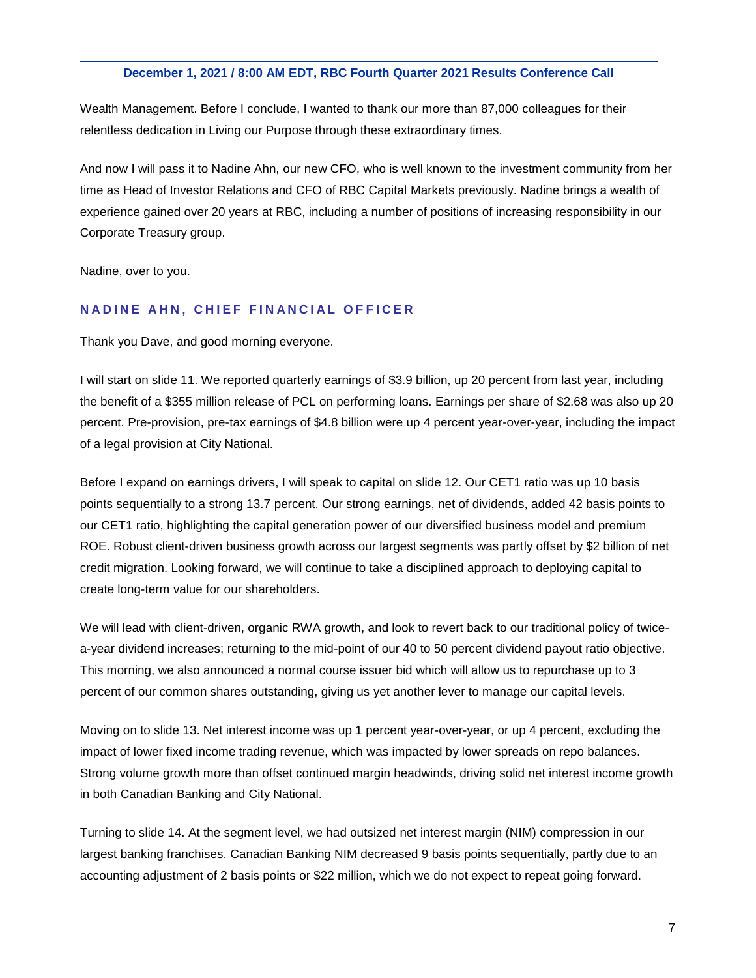Wealth Management. Before I conclude, I wanted to thank our more than 87,000 colleagues for their relentless dedication in Living our Purpose through these extraordinary times.

And now I will pass it to Nadine Ahn, our new CFO, who is well known to the investment community from her time as Head of Investor Relations and CFO of RBC Capital Markets previously. Nadine brings a wealth of experience gained over 20 years at RBC, including a number of positions of increasing responsibility in our Corporate Treasury group.

Nadine, over to you.

# **NADINE AHN, CHIEF FINANCIAL OFFICER**

Thank you Dave, and good morning everyone.

I will start on slide 11. We reported quarterly earnings of \$3.9 billion, up 20 percent from last year, including the benefit of a \$355 million release of PCL on performing loans. Earnings per share of \$2.68 was also up 20 percent. Pre-provision, pre-tax earnings of \$4.8 billion were up 4 percent year-over-year, including the impact of a legal provision at City National.

Before I expand on earnings drivers, I will speak to capital on slide 12. Our CET1 ratio was up 10 basis points sequentially to a strong 13.7 percent. Our strong earnings, net of dividends, added 42 basis points to our CET1 ratio, highlighting the capital generation power of our diversified business model and premium ROE. Robust client-driven business growth across our largest segments was partly offset by \$2 billion of net credit migration. Looking forward, we will continue to take a disciplined approach to deploying capital to create long-term value for our shareholders.

We will lead with client-driven, organic RWA growth, and look to revert back to our traditional policy of twicea-year dividend increases; returning to the mid-point of our 40 to 50 percent dividend payout ratio objective. This morning, we also announced a normal course issuer bid which will allow us to repurchase up to 3 percent of our common shares outstanding, giving us yet another lever to manage our capital levels.

Moving on to slide 13. Net interest income was up 1 percent year-over-year, or up 4 percent, excluding the impact of lower fixed income trading revenue, which was impacted by lower spreads on repo balances. Strong volume growth more than offset continued margin headwinds, driving solid net interest income growth in both Canadian Banking and City National.

Turning to slide 14. At the segment level, we had outsized net interest margin (NIM) compression in our largest banking franchises. Canadian Banking NIM decreased 9 basis points sequentially, partly due to an accounting adjustment of 2 basis points or \$22 million, which we do not expect to repeat going forward.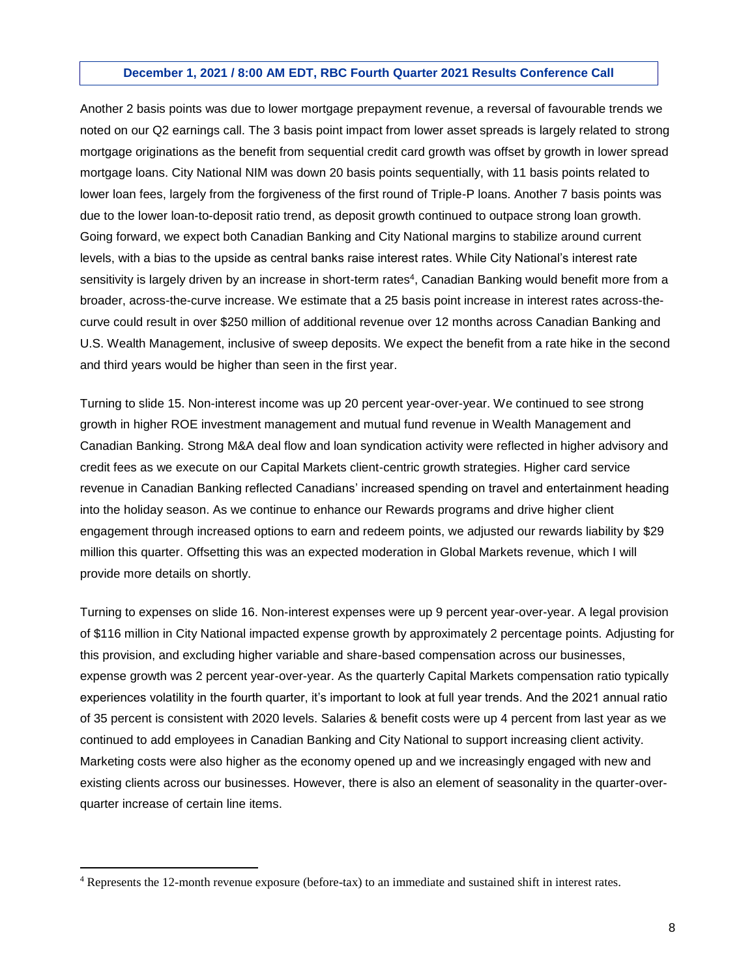Another 2 basis points was due to lower mortgage prepayment revenue, a reversal of favourable trends we noted on our Q2 earnings call. The 3 basis point impact from lower asset spreads is largely related to strong mortgage originations as the benefit from sequential credit card growth was offset by growth in lower spread mortgage loans. City National NIM was down 20 basis points sequentially, with 11 basis points related to lower loan fees, largely from the forgiveness of the first round of Triple-P loans. Another 7 basis points was due to the lower loan-to-deposit ratio trend, as deposit growth continued to outpace strong loan growth. Going forward, we expect both Canadian Banking and City National margins to stabilize around current levels, with a bias to the upside as central banks raise interest rates. While City National's interest rate sensitivity is largely driven by an increase in short-term rates<sup>4</sup>, Canadian Banking would benefit more from a broader, across-the-curve increase. We estimate that a 25 basis point increase in interest rates across-thecurve could result in over \$250 million of additional revenue over 12 months across Canadian Banking and U.S. Wealth Management, inclusive of sweep deposits. We expect the benefit from a rate hike in the second and third years would be higher than seen in the first year.

Turning to slide 15. Non-interest income was up 20 percent year-over-year. We continued to see strong growth in higher ROE investment management and mutual fund revenue in Wealth Management and Canadian Banking. Strong M&A deal flow and loan syndication activity were reflected in higher advisory and credit fees as we execute on our Capital Markets client-centric growth strategies. Higher card service revenue in Canadian Banking reflected Canadians' increased spending on travel and entertainment heading into the holiday season. As we continue to enhance our Rewards programs and drive higher client engagement through increased options to earn and redeem points, we adjusted our rewards liability by \$29 million this quarter. Offsetting this was an expected moderation in Global Markets revenue, which I will provide more details on shortly.

Turning to expenses on slide 16. Non-interest expenses were up 9 percent year-over-year. A legal provision of \$116 million in City National impacted expense growth by approximately 2 percentage points. Adjusting for this provision, and excluding higher variable and share-based compensation across our businesses, expense growth was 2 percent year-over-year. As the quarterly Capital Markets compensation ratio typically experiences volatility in the fourth quarter, it's important to look at full year trends. And the 2021 annual ratio of 35 percent is consistent with 2020 levels. Salaries & benefit costs were up 4 percent from last year as we continued to add employees in Canadian Banking and City National to support increasing client activity. Marketing costs were also higher as the economy opened up and we increasingly engaged with new and existing clients across our businesses. However, there is also an element of seasonality in the quarter-overquarter increase of certain line items.

 $\overline{a}$ 

<sup>4</sup> Represents the 12-month revenue exposure (before-tax) to an immediate and sustained shift in interest rates.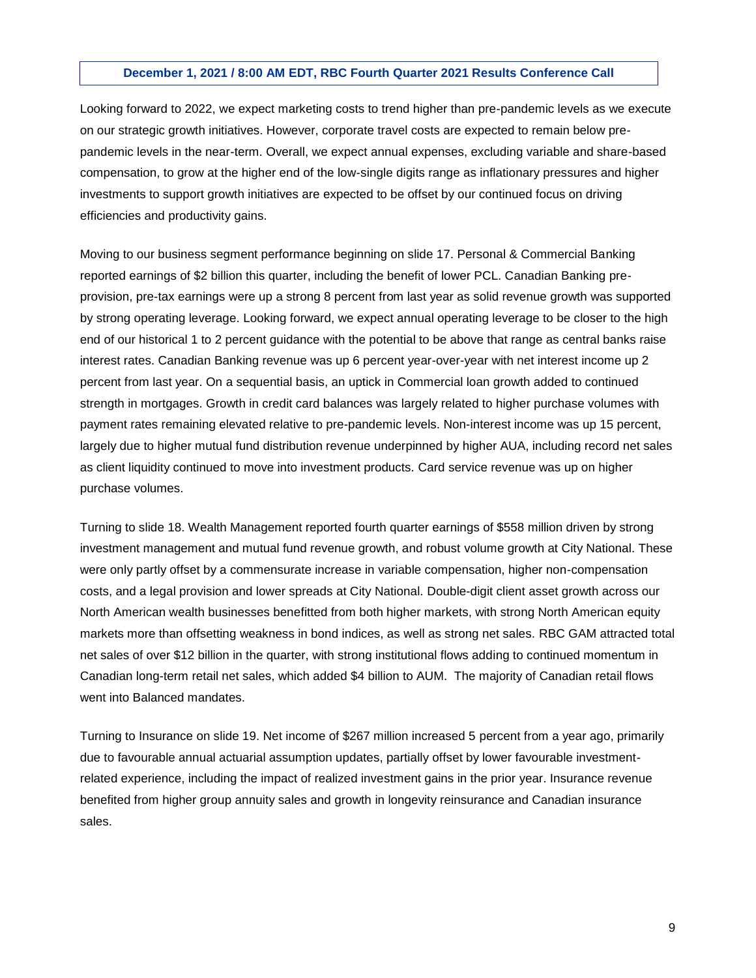Looking forward to 2022, we expect marketing costs to trend higher than pre-pandemic levels as we execute on our strategic growth initiatives. However, corporate travel costs are expected to remain below prepandemic levels in the near-term. Overall, we expect annual expenses, excluding variable and share-based compensation, to grow at the higher end of the low-single digits range as inflationary pressures and higher investments to support growth initiatives are expected to be offset by our continued focus on driving efficiencies and productivity gains.

Moving to our business segment performance beginning on slide 17. Personal & Commercial Banking reported earnings of \$2 billion this quarter, including the benefit of lower PCL. Canadian Banking preprovision, pre-tax earnings were up a strong 8 percent from last year as solid revenue growth was supported by strong operating leverage. Looking forward, we expect annual operating leverage to be closer to the high end of our historical 1 to 2 percent guidance with the potential to be above that range as central banks raise interest rates. Canadian Banking revenue was up 6 percent year-over-year with net interest income up 2 percent from last year. On a sequential basis, an uptick in Commercial loan growth added to continued strength in mortgages. Growth in credit card balances was largely related to higher purchase volumes with payment rates remaining elevated relative to pre-pandemic levels. Non-interest income was up 15 percent, largely due to higher mutual fund distribution revenue underpinned by higher AUA, including record net sales as client liquidity continued to move into investment products. Card service revenue was up on higher purchase volumes.

Turning to slide 18. Wealth Management reported fourth quarter earnings of \$558 million driven by strong investment management and mutual fund revenue growth, and robust volume growth at City National. These were only partly offset by a commensurate increase in variable compensation, higher non-compensation costs, and a legal provision and lower spreads at City National. Double-digit client asset growth across our North American wealth businesses benefitted from both higher markets, with strong North American equity markets more than offsetting weakness in bond indices, as well as strong net sales. RBC GAM attracted total net sales of over \$12 billion in the quarter, with strong institutional flows adding to continued momentum in Canadian long-term retail net sales, which added \$4 billion to AUM. The majority of Canadian retail flows went into Balanced mandates.

Turning to Insurance on slide 19. Net income of \$267 million increased 5 percent from a year ago, primarily due to favourable annual actuarial assumption updates, partially offset by lower favourable investmentrelated experience, including the impact of realized investment gains in the prior year. Insurance revenue benefited from higher group annuity sales and growth in longevity reinsurance and Canadian insurance sales.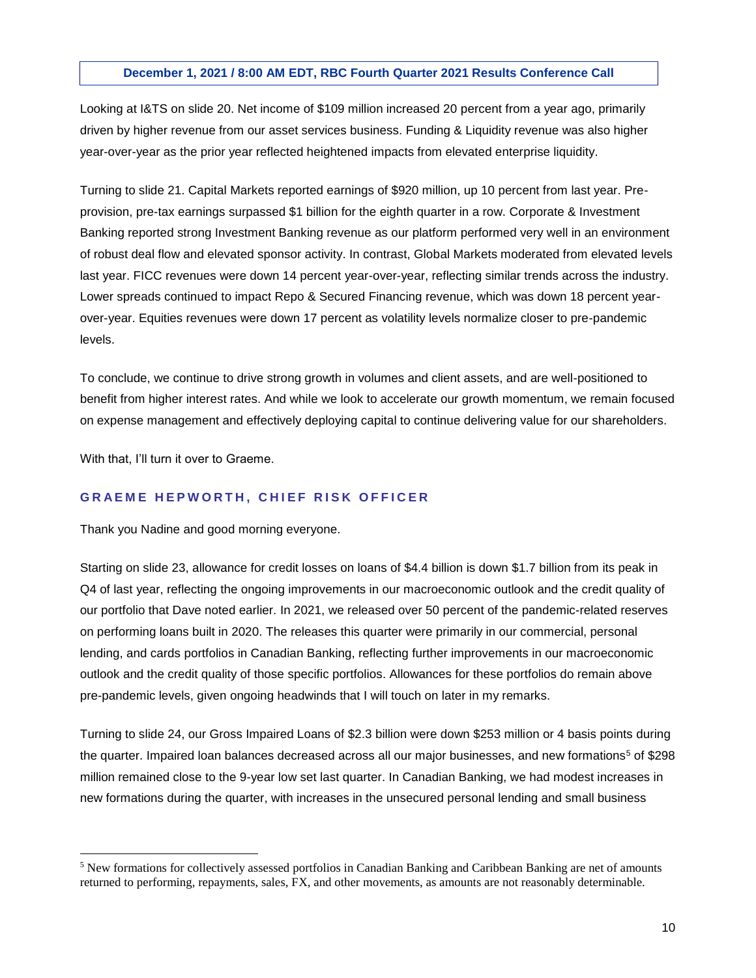Looking at I&TS on slide 20. Net income of \$109 million increased 20 percent from a year ago, primarily driven by higher revenue from our asset services business. Funding & Liquidity revenue was also higher year-over-year as the prior year reflected heightened impacts from elevated enterprise liquidity.

Turning to slide 21. Capital Markets reported earnings of \$920 million, up 10 percent from last year. Preprovision, pre-tax earnings surpassed \$1 billion for the eighth quarter in a row. Corporate & Investment Banking reported strong Investment Banking revenue as our platform performed very well in an environment of robust deal flow and elevated sponsor activity. In contrast, Global Markets moderated from elevated levels last year. FICC revenues were down 14 percent year-over-year, reflecting similar trends across the industry. Lower spreads continued to impact Repo & Secured Financing revenue, which was down 18 percent yearover-year. Equities revenues were down 17 percent as volatility levels normalize closer to pre-pandemic levels.

To conclude, we continue to drive strong growth in volumes and client assets, and are well-positioned to benefit from higher interest rates. And while we look to accelerate our growth momentum, we remain focused on expense management and effectively deploying capital to continue delivering value for our shareholders.

With that, I'll turn it over to Graeme.

 $\overline{a}$ 

# **GRAEME HEPWORTH, CHIEF RISK OFFICER**

Thank you Nadine and good morning everyone.

Starting on slide 23, allowance for credit losses on loans of \$4.4 billion is down \$1.7 billion from its peak in Q4 of last year, reflecting the ongoing improvements in our macroeconomic outlook and the credit quality of our portfolio that Dave noted earlier. In 2021, we released over 50 percent of the pandemic-related reserves on performing loans built in 2020. The releases this quarter were primarily in our commercial, personal lending, and cards portfolios in Canadian Banking, reflecting further improvements in our macroeconomic outlook and the credit quality of those specific portfolios. Allowances for these portfolios do remain above pre-pandemic levels, given ongoing headwinds that I will touch on later in my remarks.

Turning to slide 24, our Gross Impaired Loans of \$2.3 billion were down \$253 million or 4 basis points during the quarter. Impaired loan balances decreased across all our major businesses, and new formations<sup>5</sup> of \$298 million remained close to the 9-year low set last quarter. In Canadian Banking, we had modest increases in new formations during the quarter, with increases in the unsecured personal lending and small business

<sup>5</sup> New formations for collectively assessed portfolios in Canadian Banking and Caribbean Banking are net of amounts returned to performing, repayments, sales, FX, and other movements, as amounts are not reasonably determinable.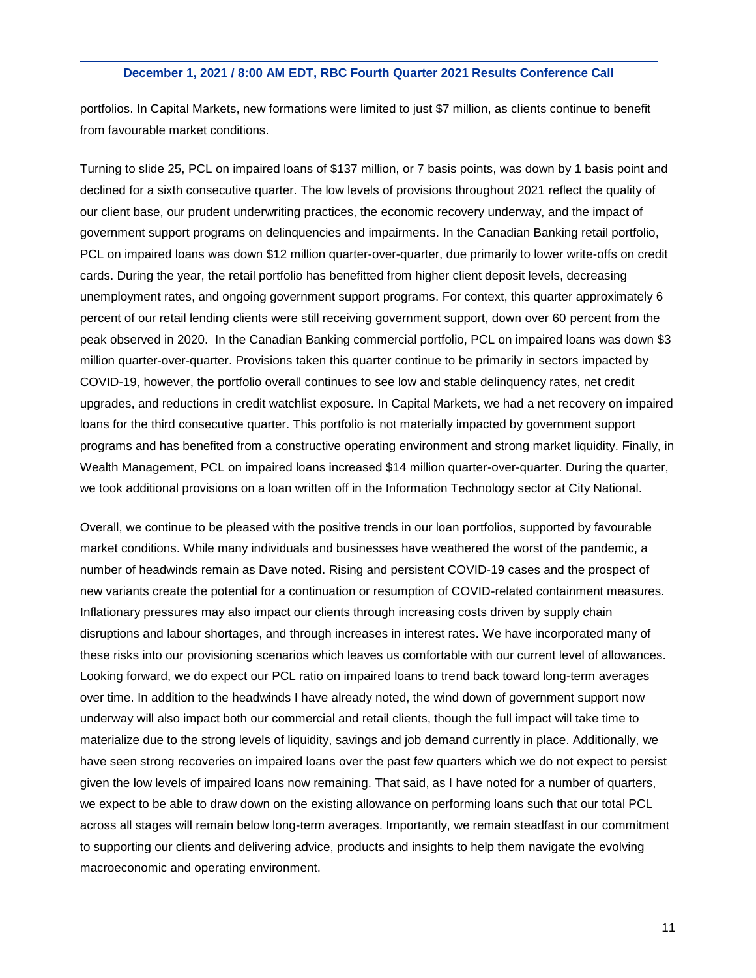portfolios. In Capital Markets, new formations were limited to just \$7 million, as clients continue to benefit from favourable market conditions.

Turning to slide 25, PCL on impaired loans of \$137 million, or 7 basis points, was down by 1 basis point and declined for a sixth consecutive quarter. The low levels of provisions throughout 2021 reflect the quality of our client base, our prudent underwriting practices, the economic recovery underway, and the impact of government support programs on delinquencies and impairments. In the Canadian Banking retail portfolio, PCL on impaired loans was down \$12 million quarter-over-quarter, due primarily to lower write-offs on credit cards. During the year, the retail portfolio has benefitted from higher client deposit levels, decreasing unemployment rates, and ongoing government support programs. For context, this quarter approximately 6 percent of our retail lending clients were still receiving government support, down over 60 percent from the peak observed in 2020. In the Canadian Banking commercial portfolio, PCL on impaired loans was down \$3 million quarter-over-quarter. Provisions taken this quarter continue to be primarily in sectors impacted by COVID-19, however, the portfolio overall continues to see low and stable delinquency rates, net credit upgrades, and reductions in credit watchlist exposure. In Capital Markets, we had a net recovery on impaired loans for the third consecutive quarter. This portfolio is not materially impacted by government support programs and has benefited from a constructive operating environment and strong market liquidity. Finally, in Wealth Management, PCL on impaired loans increased \$14 million quarter-over-quarter. During the quarter, we took additional provisions on a loan written off in the Information Technology sector at City National.

Overall, we continue to be pleased with the positive trends in our loan portfolios, supported by favourable market conditions. While many individuals and businesses have weathered the worst of the pandemic, a number of headwinds remain as Dave noted. Rising and persistent COVID-19 cases and the prospect of new variants create the potential for a continuation or resumption of COVID-related containment measures. Inflationary pressures may also impact our clients through increasing costs driven by supply chain disruptions and labour shortages, and through increases in interest rates. We have incorporated many of these risks into our provisioning scenarios which leaves us comfortable with our current level of allowances. Looking forward, we do expect our PCL ratio on impaired loans to trend back toward long-term averages over time. In addition to the headwinds I have already noted, the wind down of government support now underway will also impact both our commercial and retail clients, though the full impact will take time to materialize due to the strong levels of liquidity, savings and job demand currently in place. Additionally, we have seen strong recoveries on impaired loans over the past few quarters which we do not expect to persist given the low levels of impaired loans now remaining. That said, as I have noted for a number of quarters, we expect to be able to draw down on the existing allowance on performing loans such that our total PCL across all stages will remain below long-term averages. Importantly, we remain steadfast in our commitment to supporting our clients and delivering advice, products and insights to help them navigate the evolving macroeconomic and operating environment.